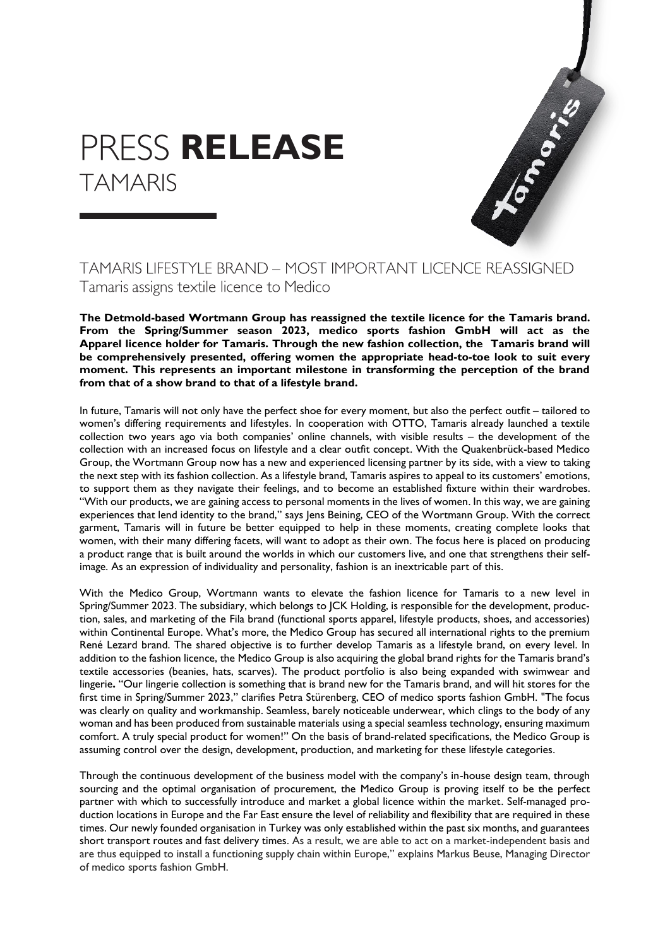## **PRESS RELEASE TAMARIS**



## **TAMARIS LIFESTYLE BRAND - MOST IMPORTANT LICENCE REASSIGNED** Tamaris assigns textile licence to Medico

**The Detmold-based Wortmann Group has reassigned the textile licence for the Tamaris brand. From the Spring/Summer season 2023, medico sports fashion GmbH will act as the Apparel licence holder for Tamaris. Through the new fashion collection, the Tamaris brand will be comprehensively presented, offering women the appropriate head-to-toe look to suit every moment. This represents an important milestone in transforming the perception of the brand from that of a show brand to that of a lifestyle brand.**

In future, Tamaris will not only have the perfect shoe for every moment, but also the perfect outfit – tailored to women's differing requirements and lifestyles. In cooperation with OTTO, Tamaris already launched a textile collection two years ago via both companies' online channels, with visible results – the development of the collection with an increased focus on lifestyle and a clear outfit concept. With the Quakenbrück-based Medico Group, the Wortmann Group now has a new and experienced licensing partner by its side, with a view to taking the next step with its fashion collection. As a lifestyle brand, Tamaris aspires to appeal to its customers' emotions, to support them as they navigate their feelings, and to become an established fixture within their wardrobes. "With our products, we are gaining access to personal moments in the lives of women. In this way, we are gaining experiences that lend identity to the brand," says Jens Beining, CEO of the Wortmann Group. With the correct garment, Tamaris will in future be better equipped to help in these moments, creating complete looks that women, with their many differing facets, will want to adopt as their own. The focus here is placed on producing a product range that is built around the worlds in which our customers live, and one that strengthens their selfimage. As an expression of individuality and personality, fashion is an inextricable part of this.

With the Medico Group, Wortmann wants to elevate the fashion licence for Tamaris to a new level in Spring/Summer 2023. The subsidiary, which belongs to JCK Holding, is responsible for the development, production, sales, and marketing of the Fila brand (functional sports apparel, lifestyle products, shoes, and accessories) within Continental Europe. What's more, the Medico Group has secured all international rights to the premium René Lezard brand. The shared objective is to further develop Tamaris as a lifestyle brand, on every level. In addition to the fashion licence, the Medico Group is also acquiring the global brand rights for the Tamaris brand's textile accessories (beanies, hats, scarves). The product portfolio is also being expanded with swimwear and lingerie**.** "Our lingerie collection is something that is brand new for the Tamaris brand, and will hit stores for the first time in Spring/Summer 2023," clarifies Petra Stürenberg, CEO of medico sports fashion GmbH. "The focus was clearly on quality and workmanship. Seamless, barely noticeable underwear, which clings to the body of any woman and has been produced from sustainable materials using a special seamless technology, ensuring maximum comfort. A truly special product for women!" On the basis of brand-related specifications, the Medico Group is assuming control over the design, development, production, and marketing for these lifestyle categories.

Through the continuous development of the business model with the company's in-house design team, through sourcing and the optimal organisation of procurement, the Medico Group is proving itself to be the perfect partner with which to successfully introduce and market a global licence within the market. Self-managed production locations in Europe and the Far East ensure the level of reliability and flexibility that are required in these times. Our newly founded organisation in Turkey was only established within the past six months, and guarantees short transport routes and fast delivery times. As a result, we are able to act on a market-independent basis and are thus equipped to install a functioning supply chain within Europe," explains Markus Beuse, Managing Director of medico sports fashion GmbH.